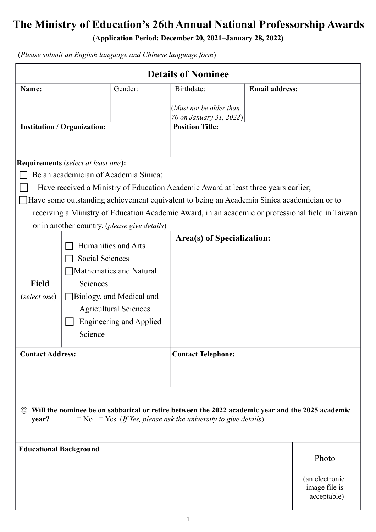# **The Ministry of Education's 26thAnnual National Professorship Awards**

**(Application Period: December 20, 2021–January 28, 2022)**

| <b>Details of Nominee</b>                                                                                                                                                                    |                                                       |                                |                                                                                                  |                       |                |  |  |  |
|----------------------------------------------------------------------------------------------------------------------------------------------------------------------------------------------|-------------------------------------------------------|--------------------------------|--------------------------------------------------------------------------------------------------|-----------------------|----------------|--|--|--|
| Name:                                                                                                                                                                                        |                                                       | Gender:                        | Birthdate:                                                                                       | <b>Email address:</b> |                |  |  |  |
|                                                                                                                                                                                              |                                                       |                                | (Must not be older than                                                                          |                       |                |  |  |  |
|                                                                                                                                                                                              |                                                       |                                | 70 on January 31, 2022)                                                                          |                       |                |  |  |  |
| <b>Institution / Organization:</b>                                                                                                                                                           |                                                       | <b>Position Title:</b>         |                                                                                                  |                       |                |  |  |  |
|                                                                                                                                                                                              |                                                       |                                |                                                                                                  |                       |                |  |  |  |
|                                                                                                                                                                                              | <b>Requirements</b> (select at least one):            |                                |                                                                                                  |                       |                |  |  |  |
|                                                                                                                                                                                              | Be an academician of Academia Sinica;                 |                                |                                                                                                  |                       |                |  |  |  |
|                                                                                                                                                                                              |                                                       |                                | Have received a Ministry of Education Academic Award at least three years earlier;               |                       |                |  |  |  |
|                                                                                                                                                                                              |                                                       |                                | Have some outstanding achievement equivalent to being an Academia Sinica academician or to       |                       |                |  |  |  |
|                                                                                                                                                                                              |                                                       |                                | receiving a Ministry of Education Academic Award, in an academic or professional field in Taiwan |                       |                |  |  |  |
|                                                                                                                                                                                              | or in another country. ( <i>please give details</i> ) |                                |                                                                                                  |                       |                |  |  |  |
|                                                                                                                                                                                              |                                                       |                                | <b>Area(s) of Specialization:</b>                                                                |                       |                |  |  |  |
|                                                                                                                                                                                              |                                                       | Humanities and Arts            |                                                                                                  |                       |                |  |  |  |
|                                                                                                                                                                                              | Social Sciences                                       |                                |                                                                                                  |                       |                |  |  |  |
|                                                                                                                                                                                              |                                                       | Mathematics and Natural        |                                                                                                  |                       |                |  |  |  |
| <b>Field</b>                                                                                                                                                                                 | Sciences                                              |                                |                                                                                                  |                       |                |  |  |  |
| (select one)                                                                                                                                                                                 |                                                       | Biology, and Medical and       |                                                                                                  |                       |                |  |  |  |
|                                                                                                                                                                                              |                                                       | <b>Agricultural Sciences</b>   |                                                                                                  |                       |                |  |  |  |
|                                                                                                                                                                                              |                                                       | <b>Engineering and Applied</b> |                                                                                                  |                       |                |  |  |  |
|                                                                                                                                                                                              | Science                                               |                                |                                                                                                  |                       |                |  |  |  |
| <b>Contact Address:</b>                                                                                                                                                                      |                                                       |                                | <b>Contact Telephone:</b>                                                                        |                       |                |  |  |  |
|                                                                                                                                                                                              |                                                       |                                |                                                                                                  |                       |                |  |  |  |
|                                                                                                                                                                                              |                                                       |                                |                                                                                                  |                       |                |  |  |  |
|                                                                                                                                                                                              |                                                       |                                |                                                                                                  |                       |                |  |  |  |
| Will the nominee be on sabbatical or retire between the 2022 academic year and the 2025 academic<br>(O)<br>year?<br>$\Box$ No $\Box$ Yes (If Yes, please ask the university to give details) |                                                       |                                |                                                                                                  |                       |                |  |  |  |
|                                                                                                                                                                                              |                                                       |                                |                                                                                                  |                       |                |  |  |  |
|                                                                                                                                                                                              |                                                       |                                |                                                                                                  |                       |                |  |  |  |
| <b>Educational Background</b>                                                                                                                                                                |                                                       |                                |                                                                                                  |                       | Photo          |  |  |  |
|                                                                                                                                                                                              |                                                       |                                |                                                                                                  |                       | (an electronic |  |  |  |
|                                                                                                                                                                                              |                                                       |                                |                                                                                                  |                       | image file is  |  |  |  |
|                                                                                                                                                                                              |                                                       |                                |                                                                                                  |                       | acceptable)    |  |  |  |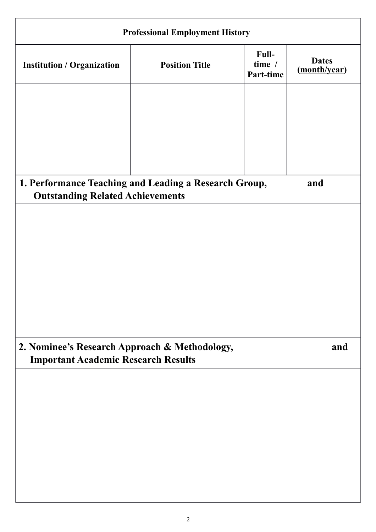| <b>Professional Employment History</b>                                                             |                       |                              |                              |  |  |  |  |  |  |
|----------------------------------------------------------------------------------------------------|-----------------------|------------------------------|------------------------------|--|--|--|--|--|--|
| <b>Institution / Organization</b>                                                                  | <b>Position Title</b> | Full-<br>time /<br>Part-time | <b>Dates</b><br>(month/year) |  |  |  |  |  |  |
|                                                                                                    |                       |                              |                              |  |  |  |  |  |  |
|                                                                                                    |                       |                              |                              |  |  |  |  |  |  |
|                                                                                                    |                       |                              |                              |  |  |  |  |  |  |
| 1. Performance Teaching and Leading a Research Group,<br>and                                       |                       |                              |                              |  |  |  |  |  |  |
| <b>Outstanding Related Achievements</b>                                                            |                       |                              |                              |  |  |  |  |  |  |
|                                                                                                    |                       |                              |                              |  |  |  |  |  |  |
|                                                                                                    |                       |                              |                              |  |  |  |  |  |  |
|                                                                                                    |                       |                              |                              |  |  |  |  |  |  |
|                                                                                                    |                       |                              |                              |  |  |  |  |  |  |
|                                                                                                    |                       |                              |                              |  |  |  |  |  |  |
|                                                                                                    |                       |                              |                              |  |  |  |  |  |  |
| 2. Nominee's Research Approach & Methodology,<br>and<br><b>Important Academic Research Results</b> |                       |                              |                              |  |  |  |  |  |  |
|                                                                                                    |                       |                              |                              |  |  |  |  |  |  |
|                                                                                                    |                       |                              |                              |  |  |  |  |  |  |
|                                                                                                    |                       |                              |                              |  |  |  |  |  |  |
|                                                                                                    |                       |                              |                              |  |  |  |  |  |  |
|                                                                                                    |                       |                              |                              |  |  |  |  |  |  |
|                                                                                                    |                       |                              |                              |  |  |  |  |  |  |
|                                                                                                    |                       |                              |                              |  |  |  |  |  |  |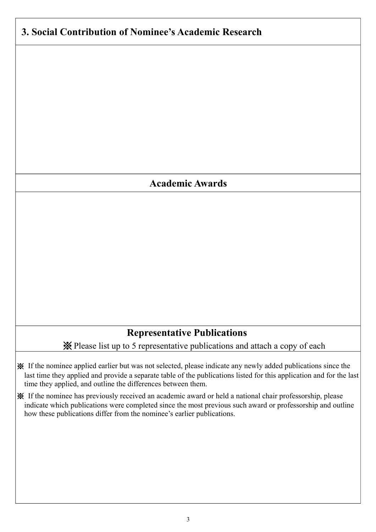## **3. Social Contribution of Nominee's Academic Research**

#### **Academic Awards**

### **Representative Publications**

※Please list up to 5 representative publications and attach a copy of each

- ※ If the nominee applied earlier but was not selected, please indicate any newly added publications since the last time they applied and provide a separate table of the publications listed for this application and for the last time they applied, and outline the differences between them.
- ※ If the nominee has previously received an academic award or held a national chair professorship, please indicate which publications were completed since the most previous such award or professorship and outline how these publications differ from the nominee's earlier publications.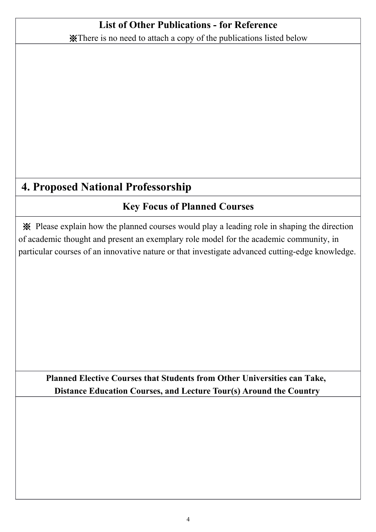## **List of Other Publications - for Reference**

※There is no need to attach a copy of the publications listed below

## **4. Proposed National Professorship**

## **Key Focus of Planned Courses**

※ Please explain how the planned courses would play a leading role in shaping the direction of academic thought and present an exemplary role model for the academic community, in particular courses of an innovative nature or that investigate advanced cutting-edge knowledge.

### **Planned Elective Courses that Students from Other Universities can Take, Distance Education Courses, and Lecture Tour(s) Around the Country**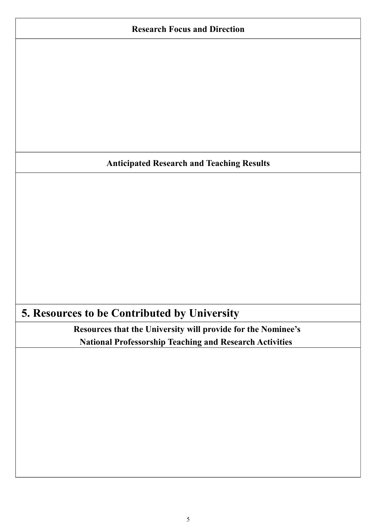